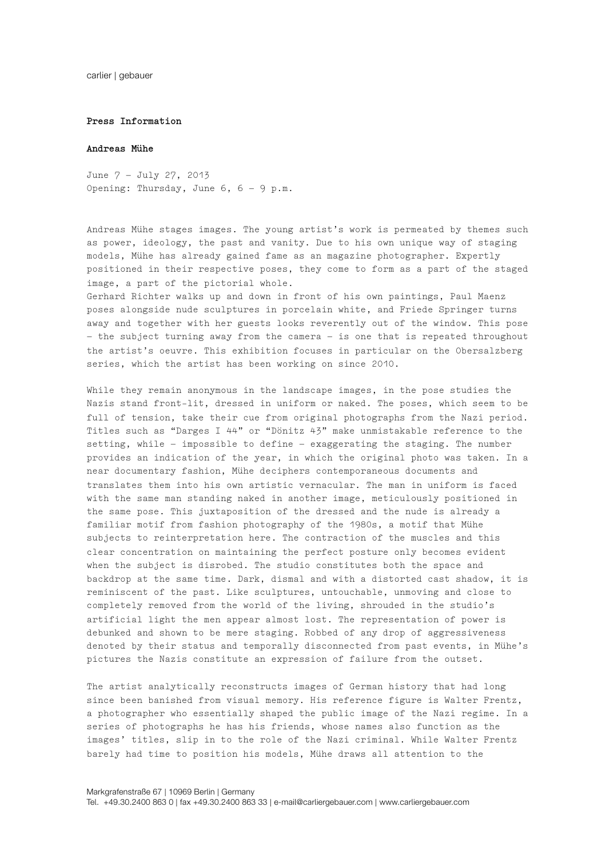carlier | gebauer

## **Press Information**

## **Andreas Mühe**

June 7 – July 27, 2013 Opening: Thursday, June 6, 6 – 9 p.m.

Andreas Mühe stages images. The young artist's work is permeated by themes such as power, ideology, the past and vanity. Due to his own unique way of staging models, Mühe has already gained fame as an magazine photographer. Expertly positioned in their respective poses, they come to form as a part of the staged image, a part of the pictorial whole.

Gerhard Richter walks up and down in front of his own paintings, Paul Maenz poses alongside nude sculptures in porcelain white, and Friede Springer turns away and together with her guests looks reverently out of the window. This pose – the subject turning away from the camera – is one that is repeated throughout the artist's oeuvre. This exhibition focuses in particular on the Obersalzberg series, which the artist has been working on since 2010.

While they remain anonymous in the landscape images, in the pose studies the Nazis stand front-lit, dressed in uniform or naked. The poses, which seem to be full of tension, take their cue from original photographs from the Nazi period. Titles such as "Darges I 44" or "Dönitz 43" make unmistakable reference to the setting, while – impossible to define – exaggerating the staging. The number provides an indication of the year, in which the original photo was taken. In a near documentary fashion, Mühe deciphers contemporaneous documents and translates them into his own artistic vernacular. The man in uniform is faced with the same man standing naked in another image, meticulously positioned in the same pose. This juxtaposition of the dressed and the nude is already a familiar motif from fashion photography of the 1980s, a motif that Mühe subjects to reinterpretation here. The contraction of the muscles and this clear concentration on maintaining the perfect posture only becomes evident when the subject is disrobed. The studio constitutes both the space and backdrop at the same time. Dark, dismal and with a distorted cast shadow, it is reminiscent of the past. Like sculptures, untouchable, unmoving and close to completely removed from the world of the living, shrouded in the studio's artificial light the men appear almost lost. The representation of power is debunked and shown to be mere staging. Robbed of any drop of aggressiveness denoted by their status and temporally disconnected from past events, in Mühe's pictures the Nazis constitute an expression of failure from the outset.

The artist analytically reconstructs images of German history that had long since been banished from visual memory. His reference figure is Walter Frentz, a photographer who essentially shaped the public image of the Nazi regime. In a series of photographs he has his friends, whose names also function as the images' titles, slip in to the role of the Nazi criminal. While Walter Frentz barely had time to position his models, Mühe draws all attention to the